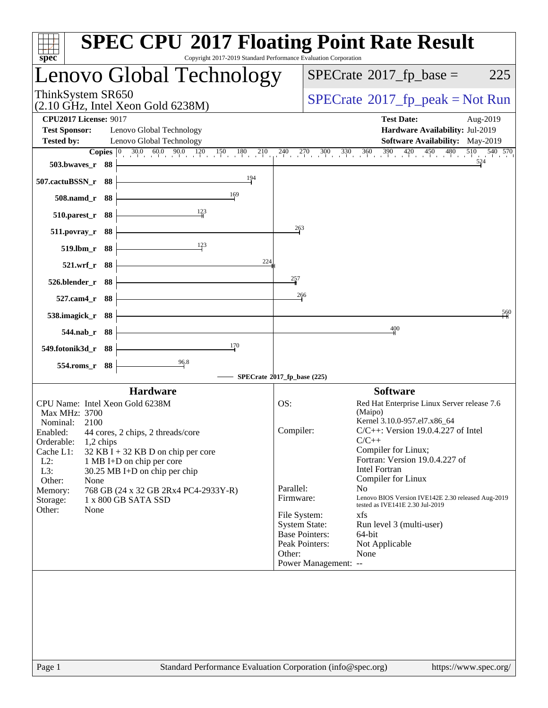| $spec^*$                                                                                                                                                                                                                                                                                                                                                                                                   | <b>SPEC CPU®2017 Floating Point Rate Result</b><br>Copyright 2017-2019 Standard Performance Evaluation Corporation                                                                                                                                                                                                                                                                                                            |
|------------------------------------------------------------------------------------------------------------------------------------------------------------------------------------------------------------------------------------------------------------------------------------------------------------------------------------------------------------------------------------------------------------|-------------------------------------------------------------------------------------------------------------------------------------------------------------------------------------------------------------------------------------------------------------------------------------------------------------------------------------------------------------------------------------------------------------------------------|
| Lenovo Global Technology                                                                                                                                                                                                                                                                                                                                                                                   | $SPECrate^{\circledast}2017$ _fp_base =<br>225                                                                                                                                                                                                                                                                                                                                                                                |
| ThinkSystem SR650<br>$(2.10 \text{ GHz}, \text{Intel Xeon Gold } 6238\text{M})$                                                                                                                                                                                                                                                                                                                            | $SPECrate^{\circ}2017rfp peak = Not Run$                                                                                                                                                                                                                                                                                                                                                                                      |
| <b>CPU2017 License: 9017</b><br><b>Test Sponsor:</b><br>Lenovo Global Technology<br><b>Tested by:</b><br>Lenovo Global Technology<br>503.bwaves_r 88                                                                                                                                                                                                                                                       | <b>Test Date:</b><br>Aug-2019<br>Hardware Availability: Jul-2019<br><b>Software Availability:</b> May-2019<br><b>Copies</b> $\begin{bmatrix} 0 & 30.0 & 60.0 & 90.0 & 120 & 150 & 180 & 210 & 240 & 270 & 300 & 330 & 360 & 390 & 420 & 450 & 480 & 510 & 540 & 570 \end{bmatrix}$                                                                                                                                            |
| 194<br>507.cactuBSSN_r 88<br>169<br>508.namd_r 88<br>510.parest_r 88                                                                                                                                                                                                                                                                                                                                       |                                                                                                                                                                                                                                                                                                                                                                                                                               |
| 511.povray_r 88<br>123<br>519.lbm_r 88<br>224<br>521.wrf_r 88                                                                                                                                                                                                                                                                                                                                              | 263                                                                                                                                                                                                                                                                                                                                                                                                                           |
| 526.blender_r 88<br>527.cam4_r 88<br>538.imagick_r 88                                                                                                                                                                                                                                                                                                                                                      | $^{257}$<br>266<br>560                                                                                                                                                                                                                                                                                                                                                                                                        |
| 544.nab_r 88<br>170<br>549.fotonik3d_r 88<br>$\frac{96.8}{9}$<br>554.roms_r 88                                                                                                                                                                                                                                                                                                                             | 400                                                                                                                                                                                                                                                                                                                                                                                                                           |
|                                                                                                                                                                                                                                                                                                                                                                                                            | SPECrate®2017_fp_base (225)                                                                                                                                                                                                                                                                                                                                                                                                   |
| <b>Hardware</b><br>CPU Name: Intel Xeon Gold 6238M<br>Max MHz: 3700<br>Nominal:<br>2100<br>Enabled: 44 cores, 2 chips, 2 threads/core<br>Orderable:<br>1,2 chips<br>Cache L1:<br>32 KB I + 32 KB D on chip per core<br>$L2$ :<br>1 MB I+D on chip per core<br>L3:<br>30.25 MB I+D on chip per chip<br>Other:<br>None<br>768 GB (24 x 32 GB 2Rx4 PC4-2933Y-R)<br>Memory:<br>1 x 800 GB SATA SSD<br>Storage: | <b>Software</b><br>Red Hat Enterprise Linux Server release 7.6<br>OS:<br>(Maipo)<br>Kernel 3.10.0-957.el7.x86_64<br>$C/C++$ : Version 19.0.4.227 of Intel<br>Compiler:<br>$C/C++$<br>Compiler for Linux;<br>Fortran: Version 19.0.4.227 of<br><b>Intel Fortran</b><br>Compiler for Linux<br>Parallel:<br>N <sub>0</sub><br>Lenovo BIOS Version IVE142E 2.30 released Aug-2019<br>Firmware:<br>tested as IVE141E 2.30 Jul-2019 |
| Other:<br>None                                                                                                                                                                                                                                                                                                                                                                                             | xfs<br>File System:<br><b>System State:</b><br>Run level 3 (multi-user)<br><b>Base Pointers:</b><br>64-bit<br>Peak Pointers:<br>Not Applicable<br>None<br>Other:<br>Power Management: --                                                                                                                                                                                                                                      |
| Page 1                                                                                                                                                                                                                                                                                                                                                                                                     | Standard Performance Evaluation Corporation (info@spec.org)<br>https://www.spec.org/                                                                                                                                                                                                                                                                                                                                          |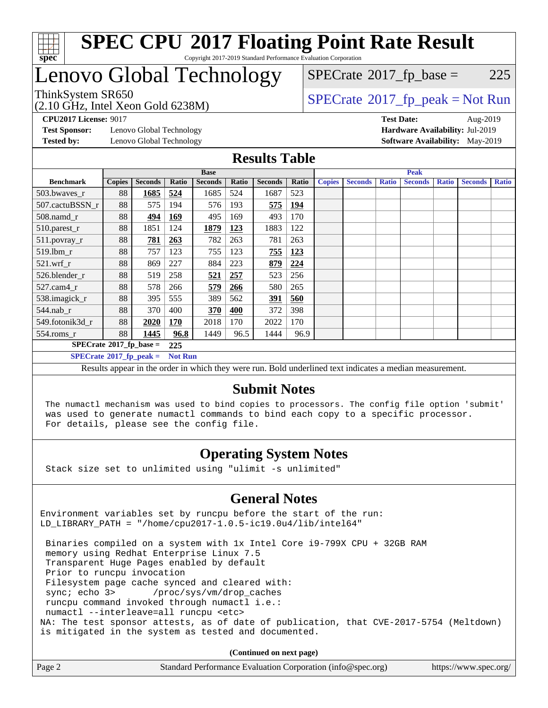

# Lenovo Global Technology

 $SPECTate@2017_fp\_base = 225$ 

(2.10 GHz, Intel Xeon Gold 6238M)

 $SPECTate@2017_fp\_peak = Not Run$ 

**[Test Sponsor:](http://www.spec.org/auto/cpu2017/Docs/result-fields.html#TestSponsor)** Lenovo Global Technology **[Hardware Availability:](http://www.spec.org/auto/cpu2017/Docs/result-fields.html#HardwareAvailability)** Jul-2019 **[Tested by:](http://www.spec.org/auto/cpu2017/Docs/result-fields.html#Testedby)** Lenovo Global Technology **[Software Availability:](http://www.spec.org/auto/cpu2017/Docs/result-fields.html#SoftwareAvailability)** May-2019

**[CPU2017 License:](http://www.spec.org/auto/cpu2017/Docs/result-fields.html#CPU2017License)** 9017 **[Test Date:](http://www.spec.org/auto/cpu2017/Docs/result-fields.html#TestDate)** Aug-2019

#### **[Results Table](http://www.spec.org/auto/cpu2017/Docs/result-fields.html#ResultsTable)**

|                                        | <b>Base</b>   |                |            |                | <b>Peak</b> |                |       |               |                |              |                |              |                |              |
|----------------------------------------|---------------|----------------|------------|----------------|-------------|----------------|-------|---------------|----------------|--------------|----------------|--------------|----------------|--------------|
| <b>Benchmark</b>                       | <b>Copies</b> | <b>Seconds</b> | Ratio      | <b>Seconds</b> | Ratio       | <b>Seconds</b> | Ratio | <b>Copies</b> | <b>Seconds</b> | <b>Ratio</b> | <b>Seconds</b> | <b>Ratio</b> | <b>Seconds</b> | <b>Ratio</b> |
| 503.bwayes r                           | 88            | 1685           | 524        | 1685           | 524         | 1687           | 523   |               |                |              |                |              |                |              |
| 507.cactuBSSN r                        | 88            | 575            | 194        | 576            | 193         | 575            | 194   |               |                |              |                |              |                |              |
| $508$ .namd $r$                        | 88            | 494            | <b>169</b> | 495            | 169         | 493            | 170   |               |                |              |                |              |                |              |
| 510.parest_r                           | 88            | 1851           | 124        | 1879           | 123         | 1883           | 122   |               |                |              |                |              |                |              |
| 511.povray_r                           | 88            | 781            | 263        | 782            | 263         | 781            | 263   |               |                |              |                |              |                |              |
| 519.lbm r                              | 88            | 757            | 123        | 755            | 123         | 755            | 123   |               |                |              |                |              |                |              |
| $521.wrf$ r                            | 88            | 869            | 227        | 884            | 223         | 879            | 224   |               |                |              |                |              |                |              |
| 526.blender r                          | 88            | 519            | 258        | 521            | 257         | 523            | 256   |               |                |              |                |              |                |              |
| $527$ .cam $4 \text{ r}$               | 88            | 578            | 266        | 579            | 266         | 580            | 265   |               |                |              |                |              |                |              |
| 538.imagick_r                          | 88            | 395            | 555        | 389            | 562         | 391            | 560   |               |                |              |                |              |                |              |
| $544$ .nab r                           | 88            | 370            | 400        | 370            | 400         | 372            | 398   |               |                |              |                |              |                |              |
| 549.fotonik3d r                        | 88            | 2020           | 170        | 2018           | 170         | 2022           | 170   |               |                |              |                |              |                |              |
| $554$ .roms $_r$                       | 88            | 1445           | 96.8       | 1449           | 96.5        | 1444           | 96.9  |               |                |              |                |              |                |              |
| $SPECrate$ <sup>®</sup> 2017_fp_base = |               |                | 225        |                |             |                |       |               |                |              |                |              |                |              |
| $SPECrate^{\circ}2017$ fp peak =       |               | <b>Not Run</b> |            |                |             |                |       |               |                |              |                |              |                |              |

Results appear in the [order in which they were run.](http://www.spec.org/auto/cpu2017/Docs/result-fields.html#RunOrder) Bold underlined text [indicates a median measurement.](http://www.spec.org/auto/cpu2017/Docs/result-fields.html#Median)

#### **[Submit Notes](http://www.spec.org/auto/cpu2017/Docs/result-fields.html#SubmitNotes)**

 The numactl mechanism was used to bind copies to processors. The config file option 'submit' was used to generate numactl commands to bind each copy to a specific processor. For details, please see the config file.

#### **[Operating System Notes](http://www.spec.org/auto/cpu2017/Docs/result-fields.html#OperatingSystemNotes)**

Stack size set to unlimited using "ulimit -s unlimited"

#### **[General Notes](http://www.spec.org/auto/cpu2017/Docs/result-fields.html#GeneralNotes)**

Environment variables set by runcpu before the start of the run: LD\_LIBRARY\_PATH = "/home/cpu2017-1.0.5-ic19.0u4/lib/intel64"

 Binaries compiled on a system with 1x Intel Core i9-799X CPU + 32GB RAM memory using Redhat Enterprise Linux 7.5 Transparent Huge Pages enabled by default Prior to runcpu invocation Filesystem page cache synced and cleared with: sync; echo 3> /proc/sys/vm/drop\_caches runcpu command invoked through numactl i.e.: numactl --interleave=all runcpu <etc> NA: The test sponsor attests, as of date of publication, that CVE-2017-5754 (Meltdown) is mitigated in the system as tested and documented.

**(Continued on next page)**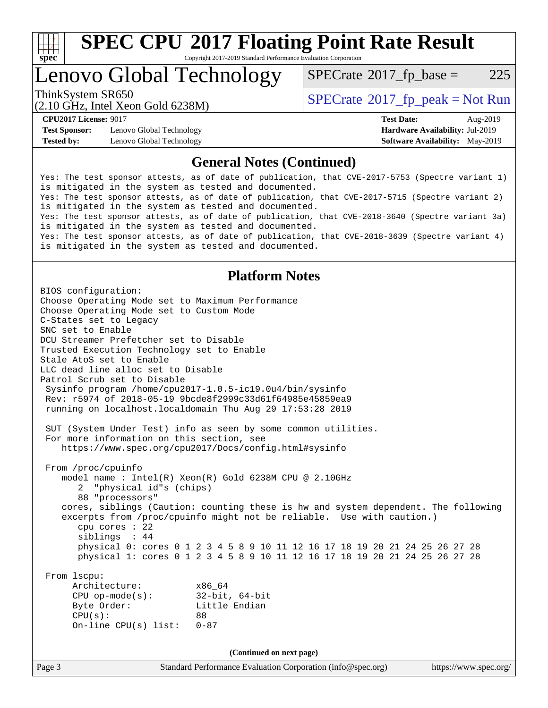

# **[SPEC CPU](http://www.spec.org/auto/cpu2017/Docs/result-fields.html#SPECCPU2017FloatingPointRateResult)[2017 Floating Point Rate Result](http://www.spec.org/auto/cpu2017/Docs/result-fields.html#SPECCPU2017FloatingPointRateResult)**

Copyright 2017-2019 Standard Performance Evaluation Corporation

# Lenovo Global Technology

 $SPECTate@2017_fp\_base = 225$ 

(2.10 GHz, Intel Xeon Gold 6238M)

ThinkSystem SR650<br>  $SPECTR_{12}$  [SPECrate](http://www.spec.org/auto/cpu2017/Docs/result-fields.html#SPECrate2017fppeak)®[2017\\_fp\\_peak = N](http://www.spec.org/auto/cpu2017/Docs/result-fields.html#SPECrate2017fppeak)ot Run

**[Test Sponsor:](http://www.spec.org/auto/cpu2017/Docs/result-fields.html#TestSponsor)** Lenovo Global Technology **[Hardware Availability:](http://www.spec.org/auto/cpu2017/Docs/result-fields.html#HardwareAvailability)** Jul-2019 **[Tested by:](http://www.spec.org/auto/cpu2017/Docs/result-fields.html#Testedby)** Lenovo Global Technology **[Software Availability:](http://www.spec.org/auto/cpu2017/Docs/result-fields.html#SoftwareAvailability)** May-2019

**[CPU2017 License:](http://www.spec.org/auto/cpu2017/Docs/result-fields.html#CPU2017License)** 9017 **[Test Date:](http://www.spec.org/auto/cpu2017/Docs/result-fields.html#TestDate)** Aug-2019

#### **[General Notes \(Continued\)](http://www.spec.org/auto/cpu2017/Docs/result-fields.html#GeneralNotes)**

Yes: The test sponsor attests, as of date of publication, that CVE-2017-5753 (Spectre variant 1) is mitigated in the system as tested and documented. Yes: The test sponsor attests, as of date of publication, that CVE-2017-5715 (Spectre variant 2) is mitigated in the system as tested and documented. Yes: The test sponsor attests, as of date of publication, that CVE-2018-3640 (Spectre variant 3a) is mitigated in the system as tested and documented. Yes: The test sponsor attests, as of date of publication, that CVE-2018-3639 (Spectre variant 4) is mitigated in the system as tested and documented.

#### **[Platform Notes](http://www.spec.org/auto/cpu2017/Docs/result-fields.html#PlatformNotes)**

Page 3 Standard Performance Evaluation Corporation [\(info@spec.org\)](mailto:info@spec.org) <https://www.spec.org/> BIOS configuration: Choose Operating Mode set to Maximum Performance Choose Operating Mode set to Custom Mode C-States set to Legacy SNC set to Enable DCU Streamer Prefetcher set to Disable Trusted Execution Technology set to Enable Stale AtoS set to Enable LLC dead line alloc set to Disable Patrol Scrub set to Disable Sysinfo program /home/cpu2017-1.0.5-ic19.0u4/bin/sysinfo Rev: r5974 of 2018-05-19 9bcde8f2999c33d61f64985e45859ea9 running on localhost.localdomain Thu Aug 29 17:53:28 2019 SUT (System Under Test) info as seen by some common utilities. For more information on this section, see <https://www.spec.org/cpu2017/Docs/config.html#sysinfo> From /proc/cpuinfo model name : Intel(R) Xeon(R) Gold 6238M CPU @ 2.10GHz 2 "physical id"s (chips) 88 "processors" cores, siblings (Caution: counting these is hw and system dependent. The following excerpts from /proc/cpuinfo might not be reliable. Use with caution.) cpu cores : 22 siblings : 44 physical 0: cores 0 1 2 3 4 5 8 9 10 11 12 16 17 18 19 20 21 24 25 26 27 28 physical 1: cores 0 1 2 3 4 5 8 9 10 11 12 16 17 18 19 20 21 24 25 26 27 28 From lscpu: Architecture: x86\_64 CPU op-mode(s): 32-bit, 64-bit Byte Order: Little Endian  $CPU(s):$  88 On-line CPU(s) list: 0-87 **(Continued on next page)**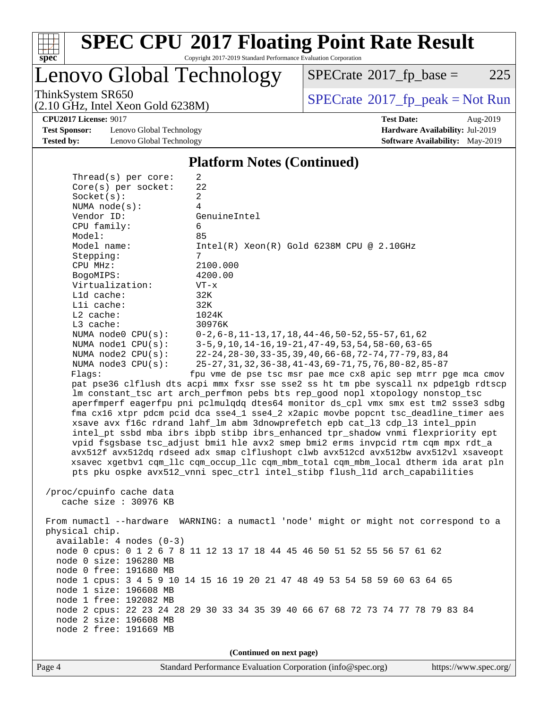

# **[SPEC CPU](http://www.spec.org/auto/cpu2017/Docs/result-fields.html#SPECCPU2017FloatingPointRateResult)[2017 Floating Point Rate Result](http://www.spec.org/auto/cpu2017/Docs/result-fields.html#SPECCPU2017FloatingPointRateResult)**

Copyright 2017-2019 Standard Performance Evaluation Corporation

Lenovo Global Technology

 $SPECTate@2017_fp\_base = 225$ 

(2.10 GHz, Intel Xeon Gold 6238M)

ThinkSystem SR650<br>  $(2.10 \text{ GHz})$  Intel Xeon Gold 6238M)

**[CPU2017 License:](http://www.spec.org/auto/cpu2017/Docs/result-fields.html#CPU2017License)** 9017 **[Test Date:](http://www.spec.org/auto/cpu2017/Docs/result-fields.html#TestDate)** Aug-2019

**[Test Sponsor:](http://www.spec.org/auto/cpu2017/Docs/result-fields.html#TestSponsor)** Lenovo Global Technology **[Hardware Availability:](http://www.spec.org/auto/cpu2017/Docs/result-fields.html#HardwareAvailability)** Jul-2019 **[Tested by:](http://www.spec.org/auto/cpu2017/Docs/result-fields.html#Testedby)** Lenovo Global Technology **[Software Availability:](http://www.spec.org/auto/cpu2017/Docs/result-fields.html#SoftwareAvailability)** May-2019

### **[Platform Notes \(Continued\)](http://www.spec.org/auto/cpu2017/Docs/result-fields.html#PlatformNotes)**

| Thread( $s$ ) per core:                         | 2                                                                                                                 |
|-------------------------------------------------|-------------------------------------------------------------------------------------------------------------------|
| Core(s) per socket:                             | 22                                                                                                                |
| Socket(s):                                      | 2                                                                                                                 |
| NUMA $node(s):$                                 | 4                                                                                                                 |
| Vendor ID:                                      | GenuineIntel                                                                                                      |
| CPU family:                                     | 6                                                                                                                 |
| Model:                                          | 85                                                                                                                |
| Model name:                                     | $Intel(R) Xeon(R) Gold 6238M CPU @ 2.10GHz$                                                                       |
| Stepping:                                       | 7                                                                                                                 |
| CPU MHz:                                        | 2100.000                                                                                                          |
| BogoMIPS:                                       | 4200.00                                                                                                           |
| Virtualization:                                 | $VT - x$                                                                                                          |
| L1d cache:                                      | 32K                                                                                                               |
| Lli cache:                                      | 32K                                                                                                               |
| $L2$ cache:                                     | 1024K                                                                                                             |
| L3 cache:                                       | 30976K                                                                                                            |
| NUMA $node0$ $CPU(s)$ :<br>NUMA nodel $CPU(s):$ | $0-2, 6-8, 11-13, 17, 18, 44-46, 50-52, 55-57, 61, 62$<br>$3-5, 9, 10, 14-16, 19-21, 47-49, 53, 54, 58-60, 63-65$ |
| NUMA node2 CPU(s):                              | 22-24, 28-30, 33-35, 39, 40, 66-68, 72-74, 77-79, 83, 84                                                          |
| NUMA node3 CPU(s):                              | 25-27, 31, 32, 36-38, 41-43, 69-71, 75, 76, 80-82, 85-87                                                          |
| Flaqs:                                          | fpu vme de pse tsc msr pae mce cx8 apic sep mtrr pge mca cmov                                                     |
|                                                 | pat pse36 clflush dts acpi mmx fxsr sse sse2 ss ht tm pbe syscall nx pdpe1gb rdtscp                               |
|                                                 | lm constant_tsc art arch_perfmon pebs bts rep_good nopl xtopology nonstop_tsc                                     |
|                                                 | aperfmperf eagerfpu pni pclmulqdq dtes64 monitor ds_cpl vmx smx est tm2 ssse3 sdbg                                |
|                                                 | fma cx16 xtpr pdcm pcid dca sse4_1 sse4_2 x2apic movbe popcnt tsc_deadline_timer aes                              |
|                                                 | xsave avx f16c rdrand lahf_lm abm 3dnowprefetch epb cat_13 cdp_13 intel_ppin                                      |
|                                                 | intel_pt ssbd mba ibrs ibpb stibp ibrs_enhanced tpr_shadow vnmi flexpriority ept                                  |
|                                                 | vpid fsgsbase tsc_adjust bmil hle avx2 smep bmi2 erms invpcid rtm cqm mpx rdt_a                                   |
|                                                 | avx512f avx512dq rdseed adx smap clflushopt clwb avx512cd avx512bw avx512vl xsaveopt                              |
|                                                 | xsavec xgetbv1 cqm_llc cqm_occup_llc cqm_mbm_total cqm_mbm_local dtherm ida arat pln                              |
|                                                 | pts pku ospke avx512_vnni spec_ctrl intel_stibp flush_lld arch_capabilities                                       |
|                                                 |                                                                                                                   |
| /proc/cpuinfo cache data                        |                                                                                                                   |
| cache size : 30976 KB                           |                                                                                                                   |
|                                                 |                                                                                                                   |
|                                                 | From numactl --hardware WARNING: a numactl 'node' might or might not correspond to a                              |
| physical chip.                                  |                                                                                                                   |
| $available: 4 nodes (0-3)$                      |                                                                                                                   |
|                                                 | node 0 cpus: 0 1 2 6 7 8 11 12 13 17 18 44 45 46 50 51 52 55 56 57 61 62                                          |
| node 0 size: 196280 MB                          |                                                                                                                   |
| node 0 free: 191680 MB                          |                                                                                                                   |
|                                                 | node 1 cpus: 3 4 5 9 10 14 15 16 19 20 21 47 48 49 53 54 58 59 60 63 64 65                                        |
| node 1 size: 196608 MB                          |                                                                                                                   |
| node 1 free: 192082 MB                          |                                                                                                                   |
|                                                 | node 2 cpus: 22 23 24 28 29 30 33 34 35 39 40 66 67 68 72 73 74 77 78 79 83 84                                    |
| node 2 size: 196608 MB                          |                                                                                                                   |
| node 2 free: 191669 MB                          |                                                                                                                   |
|                                                 |                                                                                                                   |
|                                                 | (Continued on next page)                                                                                          |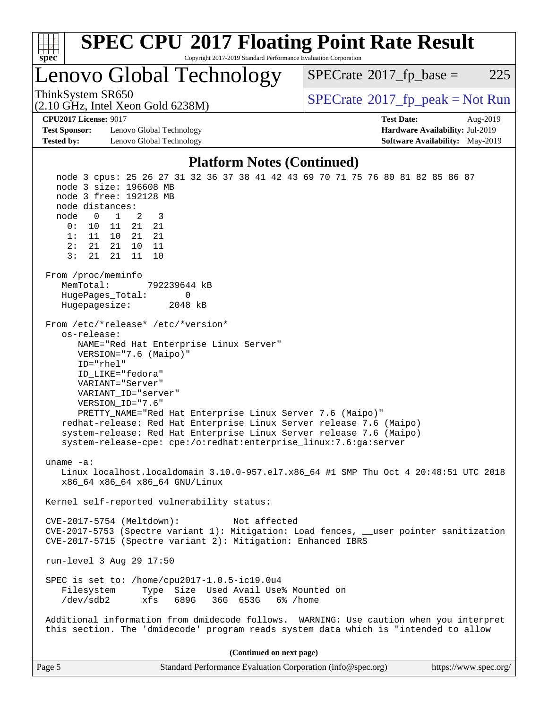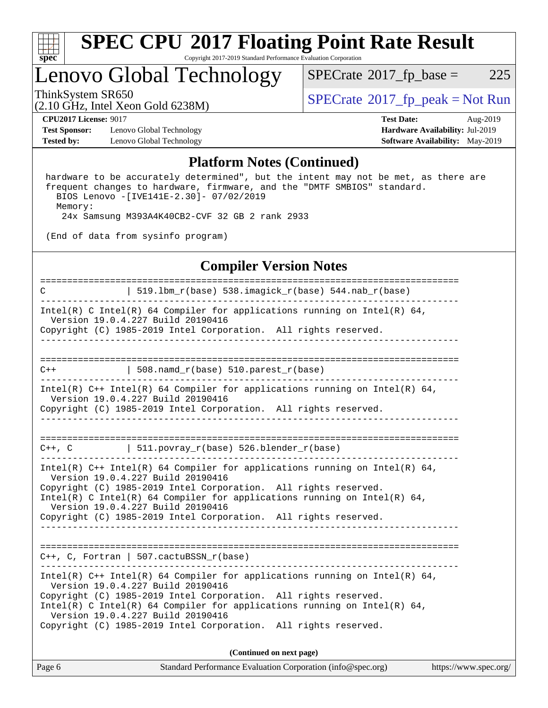

### Lenovo Global Technology

 $SPECTate@2017_fp\_base = 225$ 

ThinkSystem SR650<br>  $\begin{array}{c}\n\text{SPECrate} \textcirc 2017\_fp\_peak = Not Run \\
\text{SPECrate} \textcirc 2017\_fp\_peak = Not Run\n\end{array}$  $\begin{array}{c}\n\text{SPECrate} \textcirc 2017\_fp\_peak = Not Run \\
\text{SPECrate} \textcirc 2017\_fp\_peak = Not Run\n\end{array}$  $\begin{array}{c}\n\text{SPECrate} \textcirc 2017\_fp\_peak = Not Run \\
\text{SPECrate} \textcirc 2017\_fp\_peak = Not Run\n\end{array}$ 

**[Test Sponsor:](http://www.spec.org/auto/cpu2017/Docs/result-fields.html#TestSponsor)** Lenovo Global Technology **[Hardware Availability:](http://www.spec.org/auto/cpu2017/Docs/result-fields.html#HardwareAvailability)** Jul-2019 **[Tested by:](http://www.spec.org/auto/cpu2017/Docs/result-fields.html#Testedby)** Lenovo Global Technology **[Software Availability:](http://www.spec.org/auto/cpu2017/Docs/result-fields.html#SoftwareAvailability)** May-2019

(2.10 GHz, Intel Xeon Gold 6238M)

**[CPU2017 License:](http://www.spec.org/auto/cpu2017/Docs/result-fields.html#CPU2017License)** 9017 **[Test Date:](http://www.spec.org/auto/cpu2017/Docs/result-fields.html#TestDate)** Aug-2019

#### **[Platform Notes \(Continued\)](http://www.spec.org/auto/cpu2017/Docs/result-fields.html#PlatformNotes)**

 hardware to be accurately determined", but the intent may not be met, as there are frequent changes to hardware, firmware, and the "DMTF SMBIOS" standard. BIOS Lenovo -[IVE141E-2.30]- 07/02/2019 Memory: 24x Samsung M393A4K40CB2-CVF 32 GB 2 rank 2933

(End of data from sysinfo program)

#### **[Compiler Version Notes](http://www.spec.org/auto/cpu2017/Docs/result-fields.html#CompilerVersionNotes)**

| $\mathbf C$ | $519.1bm_r(base) 538.imagick_r(base) 544.nab_r(base)$                                                                                                                                                        |                                                                                                                                                          |                       |
|-------------|--------------------------------------------------------------------------------------------------------------------------------------------------------------------------------------------------------------|----------------------------------------------------------------------------------------------------------------------------------------------------------|-----------------------|
|             | Version 19.0.4.227 Build 20190416<br>Copyright (C) 1985-2019 Intel Corporation. All rights reserved.                                                                                                         | Intel(R) C Intel(R) 64 Compiler for applications running on Intel(R) 64,                                                                                 |                       |
|             |                                                                                                                                                                                                              |                                                                                                                                                          |                       |
| $C++$       | $\vert$ 508.namd_r(base) 510.parest_r(base)                                                                                                                                                                  |                                                                                                                                                          |                       |
|             | Version 19.0.4.227 Build 20190416<br>Copyright (C) 1985-2019 Intel Corporation. All rights reserved.                                                                                                         | Intel(R) $C++$ Intel(R) 64 Compiler for applications running on Intel(R) 64,                                                                             |                       |
|             | $C++$ , C $\qquad \qquad$ 511.povray_r(base) 526.blender_r(base)                                                                                                                                             |                                                                                                                                                          |                       |
|             | Version 19.0.4.227 Build 20190416<br>Copyright (C) 1985-2019 Intel Corporation. All rights reserved.<br>Version 19.0.4.227 Build 20190416<br>Copyright (C) 1985-2019 Intel Corporation. All rights reserved. | Intel(R) $C++$ Intel(R) 64 Compiler for applications running on Intel(R) 64,<br>Intel(R) C Intel(R) 64 Compiler for applications running on Intel(R) 64, |                       |
|             | $C++$ , C, Fortran   507.cactuBSSN_r(base)                                                                                                                                                                   |                                                                                                                                                          |                       |
|             | Version 19.0.4.227 Build 20190416<br>Copyright (C) 1985-2019 Intel Corporation. All rights reserved.<br>Version 19.0.4.227 Build 20190416<br>Copyright (C) 1985-2019 Intel Corporation. All rights reserved. | Intel(R) $C++$ Intel(R) 64 Compiler for applications running on Intel(R) 64,<br>Intel(R) C Intel(R) 64 Compiler for applications running on Intel(R) 64, |                       |
|             |                                                                                                                                                                                                              | (Continued on next page)                                                                                                                                 |                       |
| Page 6      |                                                                                                                                                                                                              | Standard Performance Evaluation Corporation (info@spec.org)                                                                                              | https://www.spec.org/ |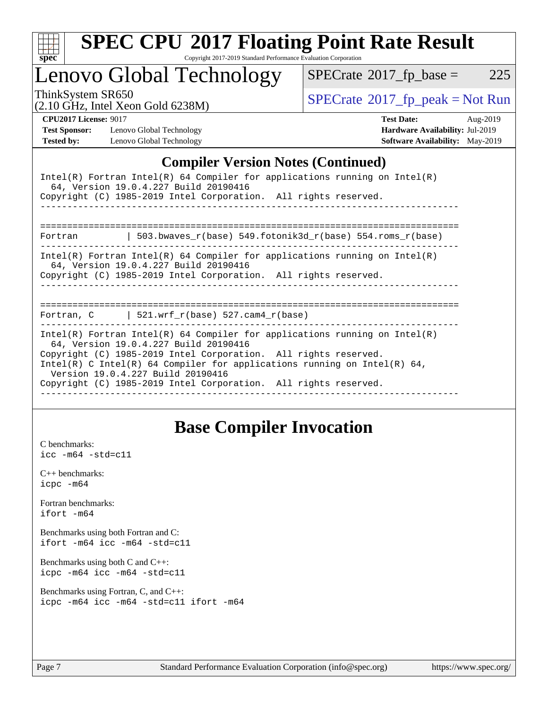

# **[SPEC CPU](http://www.spec.org/auto/cpu2017/Docs/result-fields.html#SPECCPU2017FloatingPointRateResult)[2017 Floating Point Rate Result](http://www.spec.org/auto/cpu2017/Docs/result-fields.html#SPECCPU2017FloatingPointRateResult)**

Copyright 2017-2019 Standard Performance Evaluation Corporation

Lenovo Global Technology

 $SPECTate@2017_fp\_base = 225$ 

(2.10 GHz, Intel Xeon Gold 6238M)

ThinkSystem SR650<br>  $\begin{array}{c}\n\text{SPECrate} \textcirc 2017\_fp\_peak = Not Run \\
\text{SPECrate} \textcirc 2017\_fp\_peak = Not Run\n\end{array}$  $\begin{array}{c}\n\text{SPECrate} \textcirc 2017\_fp\_peak = Not Run \\
\text{SPECrate} \textcirc 2017\_fp\_peak = Not Run\n\end{array}$  $\begin{array}{c}\n\text{SPECrate} \textcirc 2017\_fp\_peak = Not Run \\
\text{SPECrate} \textcirc 2017\_fp\_peak = Not Run\n\end{array}$ 

**[Test Sponsor:](http://www.spec.org/auto/cpu2017/Docs/result-fields.html#TestSponsor)** Lenovo Global Technology **[Hardware Availability:](http://www.spec.org/auto/cpu2017/Docs/result-fields.html#HardwareAvailability)** Jul-2019 **[Tested by:](http://www.spec.org/auto/cpu2017/Docs/result-fields.html#Testedby)** Lenovo Global Technology **[Software Availability:](http://www.spec.org/auto/cpu2017/Docs/result-fields.html#SoftwareAvailability)** May-2019

**[CPU2017 License:](http://www.spec.org/auto/cpu2017/Docs/result-fields.html#CPU2017License)** 9017 **[Test Date:](http://www.spec.org/auto/cpu2017/Docs/result-fields.html#TestDate)** Aug-2019

#### **[Compiler Version Notes \(Continued\)](http://www.spec.org/auto/cpu2017/Docs/result-fields.html#CompilerVersionNotes)**

| Intel(R) Fortran Intel(R) 64 Compiler for applications running on Intel(R)<br>64, Version 19.0.4.227 Build 20190416<br>Copyright (C) 1985-2019 Intel Corporation. All rights reserved.                                                                                                                                                                                     |  |  |  |  |  |
|----------------------------------------------------------------------------------------------------------------------------------------------------------------------------------------------------------------------------------------------------------------------------------------------------------------------------------------------------------------------------|--|--|--|--|--|
|                                                                                                                                                                                                                                                                                                                                                                            |  |  |  |  |  |
| 503.bwaves $r(base)$ 549.fotonik3d $r(base)$ 554.roms $r(base)$<br>Fortran                                                                                                                                                                                                                                                                                                 |  |  |  |  |  |
| Intel(R) Fortran Intel(R) 64 Compiler for applications running on Intel(R)<br>64, Version 19.0.4.227 Build 20190416<br>Copyright (C) 1985-2019 Intel Corporation. All rights reserved.                                                                                                                                                                                     |  |  |  |  |  |
|                                                                                                                                                                                                                                                                                                                                                                            |  |  |  |  |  |
| Fortran, C $\vert$ 521.wrf_r(base) 527.cam4_r(base)                                                                                                                                                                                                                                                                                                                        |  |  |  |  |  |
| Intel(R) Fortran Intel(R) 64 Compiler for applications running on Intel(R)<br>64, Version 19.0.4.227 Build 20190416<br>Copyright (C) 1985-2019 Intel Corporation. All rights reserved.<br>Intel(R) C Intel(R) 64 Compiler for applications running on Intel(R) 64,<br>Version 19.0.4.227 Build 20190416<br>Copyright (C) 1985-2019 Intel Corporation. All rights reserved. |  |  |  |  |  |

### **[Base Compiler Invocation](http://www.spec.org/auto/cpu2017/Docs/result-fields.html#BaseCompilerInvocation)**

[C benchmarks](http://www.spec.org/auto/cpu2017/Docs/result-fields.html#Cbenchmarks): [icc -m64 -std=c11](http://www.spec.org/cpu2017/results/res2019q3/cpu2017-20190902-17417.flags.html#user_CCbase_intel_icc_64bit_c11_33ee0cdaae7deeeab2a9725423ba97205ce30f63b9926c2519791662299b76a0318f32ddfffdc46587804de3178b4f9328c46fa7c2b0cd779d7a61945c91cd35)

[C++ benchmarks:](http://www.spec.org/auto/cpu2017/Docs/result-fields.html#CXXbenchmarks) [icpc -m64](http://www.spec.org/cpu2017/results/res2019q3/cpu2017-20190902-17417.flags.html#user_CXXbase_intel_icpc_64bit_4ecb2543ae3f1412ef961e0650ca070fec7b7afdcd6ed48761b84423119d1bf6bdf5cad15b44d48e7256388bc77273b966e5eb805aefd121eb22e9299b2ec9d9)

[Fortran benchmarks](http://www.spec.org/auto/cpu2017/Docs/result-fields.html#Fortranbenchmarks): [ifort -m64](http://www.spec.org/cpu2017/results/res2019q3/cpu2017-20190902-17417.flags.html#user_FCbase_intel_ifort_64bit_24f2bb282fbaeffd6157abe4f878425411749daecae9a33200eee2bee2fe76f3b89351d69a8130dd5949958ce389cf37ff59a95e7a40d588e8d3a57e0c3fd751)

[Benchmarks using both Fortran and C](http://www.spec.org/auto/cpu2017/Docs/result-fields.html#BenchmarksusingbothFortranandC): [ifort -m64](http://www.spec.org/cpu2017/results/res2019q3/cpu2017-20190902-17417.flags.html#user_CC_FCbase_intel_ifort_64bit_24f2bb282fbaeffd6157abe4f878425411749daecae9a33200eee2bee2fe76f3b89351d69a8130dd5949958ce389cf37ff59a95e7a40d588e8d3a57e0c3fd751) [icc -m64 -std=c11](http://www.spec.org/cpu2017/results/res2019q3/cpu2017-20190902-17417.flags.html#user_CC_FCbase_intel_icc_64bit_c11_33ee0cdaae7deeeab2a9725423ba97205ce30f63b9926c2519791662299b76a0318f32ddfffdc46587804de3178b4f9328c46fa7c2b0cd779d7a61945c91cd35)

[Benchmarks using both C and C++](http://www.spec.org/auto/cpu2017/Docs/result-fields.html#BenchmarksusingbothCandCXX): [icpc -m64](http://www.spec.org/cpu2017/results/res2019q3/cpu2017-20190902-17417.flags.html#user_CC_CXXbase_intel_icpc_64bit_4ecb2543ae3f1412ef961e0650ca070fec7b7afdcd6ed48761b84423119d1bf6bdf5cad15b44d48e7256388bc77273b966e5eb805aefd121eb22e9299b2ec9d9) [icc -m64 -std=c11](http://www.spec.org/cpu2017/results/res2019q3/cpu2017-20190902-17417.flags.html#user_CC_CXXbase_intel_icc_64bit_c11_33ee0cdaae7deeeab2a9725423ba97205ce30f63b9926c2519791662299b76a0318f32ddfffdc46587804de3178b4f9328c46fa7c2b0cd779d7a61945c91cd35)

[Benchmarks using Fortran, C, and C++:](http://www.spec.org/auto/cpu2017/Docs/result-fields.html#BenchmarksusingFortranCandCXX) [icpc -m64](http://www.spec.org/cpu2017/results/res2019q3/cpu2017-20190902-17417.flags.html#user_CC_CXX_FCbase_intel_icpc_64bit_4ecb2543ae3f1412ef961e0650ca070fec7b7afdcd6ed48761b84423119d1bf6bdf5cad15b44d48e7256388bc77273b966e5eb805aefd121eb22e9299b2ec9d9) [icc -m64 -std=c11](http://www.spec.org/cpu2017/results/res2019q3/cpu2017-20190902-17417.flags.html#user_CC_CXX_FCbase_intel_icc_64bit_c11_33ee0cdaae7deeeab2a9725423ba97205ce30f63b9926c2519791662299b76a0318f32ddfffdc46587804de3178b4f9328c46fa7c2b0cd779d7a61945c91cd35) [ifort -m64](http://www.spec.org/cpu2017/results/res2019q3/cpu2017-20190902-17417.flags.html#user_CC_CXX_FCbase_intel_ifort_64bit_24f2bb282fbaeffd6157abe4f878425411749daecae9a33200eee2bee2fe76f3b89351d69a8130dd5949958ce389cf37ff59a95e7a40d588e8d3a57e0c3fd751)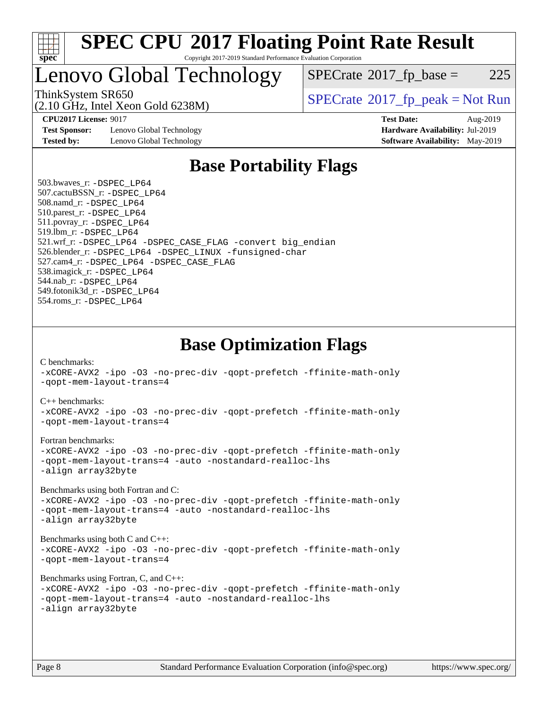

## Lenovo Global Technology

 $SPECTate@2017_fp\_base = 225$ 

(2.10 GHz, Intel Xeon Gold 6238M)

ThinkSystem SR650<br>  $SPECrate^{\circ}2017$  $SPECrate^{\circ}2017$  fp\_peak = Not Run

**[Test Sponsor:](http://www.spec.org/auto/cpu2017/Docs/result-fields.html#TestSponsor)** Lenovo Global Technology **[Hardware Availability:](http://www.spec.org/auto/cpu2017/Docs/result-fields.html#HardwareAvailability)** Jul-2019 **[Tested by:](http://www.spec.org/auto/cpu2017/Docs/result-fields.html#Testedby)** Lenovo Global Technology **[Software Availability:](http://www.spec.org/auto/cpu2017/Docs/result-fields.html#SoftwareAvailability)** May-2019

**[CPU2017 License:](http://www.spec.org/auto/cpu2017/Docs/result-fields.html#CPU2017License)** 9017 **[Test Date:](http://www.spec.org/auto/cpu2017/Docs/result-fields.html#TestDate)** Aug-2019

### **[Base Portability Flags](http://www.spec.org/auto/cpu2017/Docs/result-fields.html#BasePortabilityFlags)**

 503.bwaves\_r: [-DSPEC\\_LP64](http://www.spec.org/cpu2017/results/res2019q3/cpu2017-20190902-17417.flags.html#suite_basePORTABILITY503_bwaves_r_DSPEC_LP64) 507.cactuBSSN\_r: [-DSPEC\\_LP64](http://www.spec.org/cpu2017/results/res2019q3/cpu2017-20190902-17417.flags.html#suite_basePORTABILITY507_cactuBSSN_r_DSPEC_LP64) 508.namd\_r: [-DSPEC\\_LP64](http://www.spec.org/cpu2017/results/res2019q3/cpu2017-20190902-17417.flags.html#suite_basePORTABILITY508_namd_r_DSPEC_LP64) 510.parest\_r: [-DSPEC\\_LP64](http://www.spec.org/cpu2017/results/res2019q3/cpu2017-20190902-17417.flags.html#suite_basePORTABILITY510_parest_r_DSPEC_LP64) 511.povray\_r: [-DSPEC\\_LP64](http://www.spec.org/cpu2017/results/res2019q3/cpu2017-20190902-17417.flags.html#suite_basePORTABILITY511_povray_r_DSPEC_LP64) 519.lbm\_r: [-DSPEC\\_LP64](http://www.spec.org/cpu2017/results/res2019q3/cpu2017-20190902-17417.flags.html#suite_basePORTABILITY519_lbm_r_DSPEC_LP64) 521.wrf\_r: [-DSPEC\\_LP64](http://www.spec.org/cpu2017/results/res2019q3/cpu2017-20190902-17417.flags.html#suite_basePORTABILITY521_wrf_r_DSPEC_LP64) [-DSPEC\\_CASE\\_FLAG](http://www.spec.org/cpu2017/results/res2019q3/cpu2017-20190902-17417.flags.html#b521.wrf_r_baseCPORTABILITY_DSPEC_CASE_FLAG) [-convert big\\_endian](http://www.spec.org/cpu2017/results/res2019q3/cpu2017-20190902-17417.flags.html#user_baseFPORTABILITY521_wrf_r_convert_big_endian_c3194028bc08c63ac5d04de18c48ce6d347e4e562e8892b8bdbdc0214820426deb8554edfa529a3fb25a586e65a3d812c835984020483e7e73212c4d31a38223) 526.blender\_r: [-DSPEC\\_LP64](http://www.spec.org/cpu2017/results/res2019q3/cpu2017-20190902-17417.flags.html#suite_basePORTABILITY526_blender_r_DSPEC_LP64) [-DSPEC\\_LINUX](http://www.spec.org/cpu2017/results/res2019q3/cpu2017-20190902-17417.flags.html#b526.blender_r_baseCPORTABILITY_DSPEC_LINUX) [-funsigned-char](http://www.spec.org/cpu2017/results/res2019q3/cpu2017-20190902-17417.flags.html#user_baseCPORTABILITY526_blender_r_force_uchar_40c60f00ab013830e2dd6774aeded3ff59883ba5a1fc5fc14077f794d777847726e2a5858cbc7672e36e1b067e7e5c1d9a74f7176df07886a243d7cc18edfe67) 527.cam4\_r: [-DSPEC\\_LP64](http://www.spec.org/cpu2017/results/res2019q3/cpu2017-20190902-17417.flags.html#suite_basePORTABILITY527_cam4_r_DSPEC_LP64) [-DSPEC\\_CASE\\_FLAG](http://www.spec.org/cpu2017/results/res2019q3/cpu2017-20190902-17417.flags.html#b527.cam4_r_baseCPORTABILITY_DSPEC_CASE_FLAG) 538.imagick\_r: [-DSPEC\\_LP64](http://www.spec.org/cpu2017/results/res2019q3/cpu2017-20190902-17417.flags.html#suite_basePORTABILITY538_imagick_r_DSPEC_LP64) 544.nab\_r: [-DSPEC\\_LP64](http://www.spec.org/cpu2017/results/res2019q3/cpu2017-20190902-17417.flags.html#suite_basePORTABILITY544_nab_r_DSPEC_LP64) 549.fotonik3d\_r: [-DSPEC\\_LP64](http://www.spec.org/cpu2017/results/res2019q3/cpu2017-20190902-17417.flags.html#suite_basePORTABILITY549_fotonik3d_r_DSPEC_LP64) 554.roms\_r: [-DSPEC\\_LP64](http://www.spec.org/cpu2017/results/res2019q3/cpu2017-20190902-17417.flags.html#suite_basePORTABILITY554_roms_r_DSPEC_LP64)

**[Base Optimization Flags](http://www.spec.org/auto/cpu2017/Docs/result-fields.html#BaseOptimizationFlags)**

[C benchmarks](http://www.spec.org/auto/cpu2017/Docs/result-fields.html#Cbenchmarks):

[-xCORE-AVX2](http://www.spec.org/cpu2017/results/res2019q3/cpu2017-20190902-17417.flags.html#user_CCbase_f-xCORE-AVX2) [-ipo](http://www.spec.org/cpu2017/results/res2019q3/cpu2017-20190902-17417.flags.html#user_CCbase_f-ipo) [-O3](http://www.spec.org/cpu2017/results/res2019q3/cpu2017-20190902-17417.flags.html#user_CCbase_f-O3) [-no-prec-div](http://www.spec.org/cpu2017/results/res2019q3/cpu2017-20190902-17417.flags.html#user_CCbase_f-no-prec-div) [-qopt-prefetch](http://www.spec.org/cpu2017/results/res2019q3/cpu2017-20190902-17417.flags.html#user_CCbase_f-qopt-prefetch) [-ffinite-math-only](http://www.spec.org/cpu2017/results/res2019q3/cpu2017-20190902-17417.flags.html#user_CCbase_f_finite_math_only_cb91587bd2077682c4b38af759c288ed7c732db004271a9512da14a4f8007909a5f1427ecbf1a0fb78ff2a814402c6114ac565ca162485bbcae155b5e4258871) [-qopt-mem-layout-trans=4](http://www.spec.org/cpu2017/results/res2019q3/cpu2017-20190902-17417.flags.html#user_CCbase_f-qopt-mem-layout-trans_fa39e755916c150a61361b7846f310bcdf6f04e385ef281cadf3647acec3f0ae266d1a1d22d972a7087a248fd4e6ca390a3634700869573d231a252c784941a8) [C++ benchmarks:](http://www.spec.org/auto/cpu2017/Docs/result-fields.html#CXXbenchmarks) [-xCORE-AVX2](http://www.spec.org/cpu2017/results/res2019q3/cpu2017-20190902-17417.flags.html#user_CXXbase_f-xCORE-AVX2) [-ipo](http://www.spec.org/cpu2017/results/res2019q3/cpu2017-20190902-17417.flags.html#user_CXXbase_f-ipo) [-O3](http://www.spec.org/cpu2017/results/res2019q3/cpu2017-20190902-17417.flags.html#user_CXXbase_f-O3) [-no-prec-div](http://www.spec.org/cpu2017/results/res2019q3/cpu2017-20190902-17417.flags.html#user_CXXbase_f-no-prec-div) [-qopt-prefetch](http://www.spec.org/cpu2017/results/res2019q3/cpu2017-20190902-17417.flags.html#user_CXXbase_f-qopt-prefetch) [-ffinite-math-only](http://www.spec.org/cpu2017/results/res2019q3/cpu2017-20190902-17417.flags.html#user_CXXbase_f_finite_math_only_cb91587bd2077682c4b38af759c288ed7c732db004271a9512da14a4f8007909a5f1427ecbf1a0fb78ff2a814402c6114ac565ca162485bbcae155b5e4258871) [-qopt-mem-layout-trans=4](http://www.spec.org/cpu2017/results/res2019q3/cpu2017-20190902-17417.flags.html#user_CXXbase_f-qopt-mem-layout-trans_fa39e755916c150a61361b7846f310bcdf6f04e385ef281cadf3647acec3f0ae266d1a1d22d972a7087a248fd4e6ca390a3634700869573d231a252c784941a8) [Fortran benchmarks](http://www.spec.org/auto/cpu2017/Docs/result-fields.html#Fortranbenchmarks): [-xCORE-AVX2](http://www.spec.org/cpu2017/results/res2019q3/cpu2017-20190902-17417.flags.html#user_FCbase_f-xCORE-AVX2) [-ipo](http://www.spec.org/cpu2017/results/res2019q3/cpu2017-20190902-17417.flags.html#user_FCbase_f-ipo) [-O3](http://www.spec.org/cpu2017/results/res2019q3/cpu2017-20190902-17417.flags.html#user_FCbase_f-O3) [-no-prec-div](http://www.spec.org/cpu2017/results/res2019q3/cpu2017-20190902-17417.flags.html#user_FCbase_f-no-prec-div) [-qopt-prefetch](http://www.spec.org/cpu2017/results/res2019q3/cpu2017-20190902-17417.flags.html#user_FCbase_f-qopt-prefetch) [-ffinite-math-only](http://www.spec.org/cpu2017/results/res2019q3/cpu2017-20190902-17417.flags.html#user_FCbase_f_finite_math_only_cb91587bd2077682c4b38af759c288ed7c732db004271a9512da14a4f8007909a5f1427ecbf1a0fb78ff2a814402c6114ac565ca162485bbcae155b5e4258871) [-qopt-mem-layout-trans=4](http://www.spec.org/cpu2017/results/res2019q3/cpu2017-20190902-17417.flags.html#user_FCbase_f-qopt-mem-layout-trans_fa39e755916c150a61361b7846f310bcdf6f04e385ef281cadf3647acec3f0ae266d1a1d22d972a7087a248fd4e6ca390a3634700869573d231a252c784941a8) [-auto](http://www.spec.org/cpu2017/results/res2019q3/cpu2017-20190902-17417.flags.html#user_FCbase_f-auto) [-nostandard-realloc-lhs](http://www.spec.org/cpu2017/results/res2019q3/cpu2017-20190902-17417.flags.html#user_FCbase_f_2003_std_realloc_82b4557e90729c0f113870c07e44d33d6f5a304b4f63d4c15d2d0f1fab99f5daaed73bdb9275d9ae411527f28b936061aa8b9c8f2d63842963b95c9dd6426b8a) [-align array32byte](http://www.spec.org/cpu2017/results/res2019q3/cpu2017-20190902-17417.flags.html#user_FCbase_align_array32byte_b982fe038af199962ba9a80c053b8342c548c85b40b8e86eb3cc33dee0d7986a4af373ac2d51c3f7cf710a18d62fdce2948f201cd044323541f22fc0fffc51b6) [Benchmarks using both Fortran and C](http://www.spec.org/auto/cpu2017/Docs/result-fields.html#BenchmarksusingbothFortranandC): [-xCORE-AVX2](http://www.spec.org/cpu2017/results/res2019q3/cpu2017-20190902-17417.flags.html#user_CC_FCbase_f-xCORE-AVX2) [-ipo](http://www.spec.org/cpu2017/results/res2019q3/cpu2017-20190902-17417.flags.html#user_CC_FCbase_f-ipo) [-O3](http://www.spec.org/cpu2017/results/res2019q3/cpu2017-20190902-17417.flags.html#user_CC_FCbase_f-O3) [-no-prec-div](http://www.spec.org/cpu2017/results/res2019q3/cpu2017-20190902-17417.flags.html#user_CC_FCbase_f-no-prec-div) [-qopt-prefetch](http://www.spec.org/cpu2017/results/res2019q3/cpu2017-20190902-17417.flags.html#user_CC_FCbase_f-qopt-prefetch) [-ffinite-math-only](http://www.spec.org/cpu2017/results/res2019q3/cpu2017-20190902-17417.flags.html#user_CC_FCbase_f_finite_math_only_cb91587bd2077682c4b38af759c288ed7c732db004271a9512da14a4f8007909a5f1427ecbf1a0fb78ff2a814402c6114ac565ca162485bbcae155b5e4258871) [-qopt-mem-layout-trans=4](http://www.spec.org/cpu2017/results/res2019q3/cpu2017-20190902-17417.flags.html#user_CC_FCbase_f-qopt-mem-layout-trans_fa39e755916c150a61361b7846f310bcdf6f04e385ef281cadf3647acec3f0ae266d1a1d22d972a7087a248fd4e6ca390a3634700869573d231a252c784941a8) [-auto](http://www.spec.org/cpu2017/results/res2019q3/cpu2017-20190902-17417.flags.html#user_CC_FCbase_f-auto) [-nostandard-realloc-lhs](http://www.spec.org/cpu2017/results/res2019q3/cpu2017-20190902-17417.flags.html#user_CC_FCbase_f_2003_std_realloc_82b4557e90729c0f113870c07e44d33d6f5a304b4f63d4c15d2d0f1fab99f5daaed73bdb9275d9ae411527f28b936061aa8b9c8f2d63842963b95c9dd6426b8a) [-align array32byte](http://www.spec.org/cpu2017/results/res2019q3/cpu2017-20190902-17417.flags.html#user_CC_FCbase_align_array32byte_b982fe038af199962ba9a80c053b8342c548c85b40b8e86eb3cc33dee0d7986a4af373ac2d51c3f7cf710a18d62fdce2948f201cd044323541f22fc0fffc51b6) [Benchmarks using both C and C++](http://www.spec.org/auto/cpu2017/Docs/result-fields.html#BenchmarksusingbothCandCXX): [-xCORE-AVX2](http://www.spec.org/cpu2017/results/res2019q3/cpu2017-20190902-17417.flags.html#user_CC_CXXbase_f-xCORE-AVX2) [-ipo](http://www.spec.org/cpu2017/results/res2019q3/cpu2017-20190902-17417.flags.html#user_CC_CXXbase_f-ipo) [-O3](http://www.spec.org/cpu2017/results/res2019q3/cpu2017-20190902-17417.flags.html#user_CC_CXXbase_f-O3) [-no-prec-div](http://www.spec.org/cpu2017/results/res2019q3/cpu2017-20190902-17417.flags.html#user_CC_CXXbase_f-no-prec-div) [-qopt-prefetch](http://www.spec.org/cpu2017/results/res2019q3/cpu2017-20190902-17417.flags.html#user_CC_CXXbase_f-qopt-prefetch) [-ffinite-math-only](http://www.spec.org/cpu2017/results/res2019q3/cpu2017-20190902-17417.flags.html#user_CC_CXXbase_f_finite_math_only_cb91587bd2077682c4b38af759c288ed7c732db004271a9512da14a4f8007909a5f1427ecbf1a0fb78ff2a814402c6114ac565ca162485bbcae155b5e4258871) [-qopt-mem-layout-trans=4](http://www.spec.org/cpu2017/results/res2019q3/cpu2017-20190902-17417.flags.html#user_CC_CXXbase_f-qopt-mem-layout-trans_fa39e755916c150a61361b7846f310bcdf6f04e385ef281cadf3647acec3f0ae266d1a1d22d972a7087a248fd4e6ca390a3634700869573d231a252c784941a8) [Benchmarks using Fortran, C, and C++:](http://www.spec.org/auto/cpu2017/Docs/result-fields.html#BenchmarksusingFortranCandCXX) [-xCORE-AVX2](http://www.spec.org/cpu2017/results/res2019q3/cpu2017-20190902-17417.flags.html#user_CC_CXX_FCbase_f-xCORE-AVX2) [-ipo](http://www.spec.org/cpu2017/results/res2019q3/cpu2017-20190902-17417.flags.html#user_CC_CXX_FCbase_f-ipo) [-O3](http://www.spec.org/cpu2017/results/res2019q3/cpu2017-20190902-17417.flags.html#user_CC_CXX_FCbase_f-O3) [-no-prec-div](http://www.spec.org/cpu2017/results/res2019q3/cpu2017-20190902-17417.flags.html#user_CC_CXX_FCbase_f-no-prec-div) [-qopt-prefetch](http://www.spec.org/cpu2017/results/res2019q3/cpu2017-20190902-17417.flags.html#user_CC_CXX_FCbase_f-qopt-prefetch) [-ffinite-math-only](http://www.spec.org/cpu2017/results/res2019q3/cpu2017-20190902-17417.flags.html#user_CC_CXX_FCbase_f_finite_math_only_cb91587bd2077682c4b38af759c288ed7c732db004271a9512da14a4f8007909a5f1427ecbf1a0fb78ff2a814402c6114ac565ca162485bbcae155b5e4258871) [-qopt-mem-layout-trans=4](http://www.spec.org/cpu2017/results/res2019q3/cpu2017-20190902-17417.flags.html#user_CC_CXX_FCbase_f-qopt-mem-layout-trans_fa39e755916c150a61361b7846f310bcdf6f04e385ef281cadf3647acec3f0ae266d1a1d22d972a7087a248fd4e6ca390a3634700869573d231a252c784941a8) [-auto](http://www.spec.org/cpu2017/results/res2019q3/cpu2017-20190902-17417.flags.html#user_CC_CXX_FCbase_f-auto) [-nostandard-realloc-lhs](http://www.spec.org/cpu2017/results/res2019q3/cpu2017-20190902-17417.flags.html#user_CC_CXX_FCbase_f_2003_std_realloc_82b4557e90729c0f113870c07e44d33d6f5a304b4f63d4c15d2d0f1fab99f5daaed73bdb9275d9ae411527f28b936061aa8b9c8f2d63842963b95c9dd6426b8a) [-align array32byte](http://www.spec.org/cpu2017/results/res2019q3/cpu2017-20190902-17417.flags.html#user_CC_CXX_FCbase_align_array32byte_b982fe038af199962ba9a80c053b8342c548c85b40b8e86eb3cc33dee0d7986a4af373ac2d51c3f7cf710a18d62fdce2948f201cd044323541f22fc0fffc51b6)